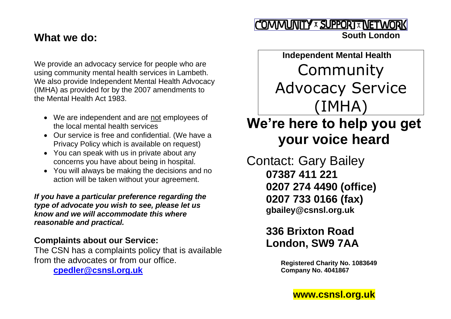### **What we do:**

We provide an advocacy service for people who are using community mental health services in Lambeth. We also provide Independent Mental Health Advocacy (IMHA) as provided for by the 2007 amendments to the Mental Health Act 1983.

- We are independent and are not employees of the local mental health services
- Our service is free and confidential. (We have a Privacy Policy which is available on request)
- You can speak with us in private about any concerns you have about being in hospital.
- You will always be making the decisions and no action will be taken without your agreement.

*If you have a particular preference regarding the type of advocate you wish to see, please let us know and we will accommodate this where reasonable and practical.*

### **Complaints about our Service:**

The CSN has a complaints policy that is available from the advocates or from our office.

**[cpedler@csnsl.org.uk](mailto:cpedler@csnsl.org.uk)**

### COMMUNITY x SUPPORT X NETWORK  **South London**

 **Independent Mental Health**  Community Advocacy Service (IMHA) **We're here to help you get** 

# **your voice heard**

Contact: Gary Bailey **07387 411 221 0207 274 4490 (office) 0207 733 0166 (fax) gbailey@csnsl.org.uk**

# **336 Brixton Road London, SW9 7AA**

**Registered Charity No. 1083649 Company No. 4041867**